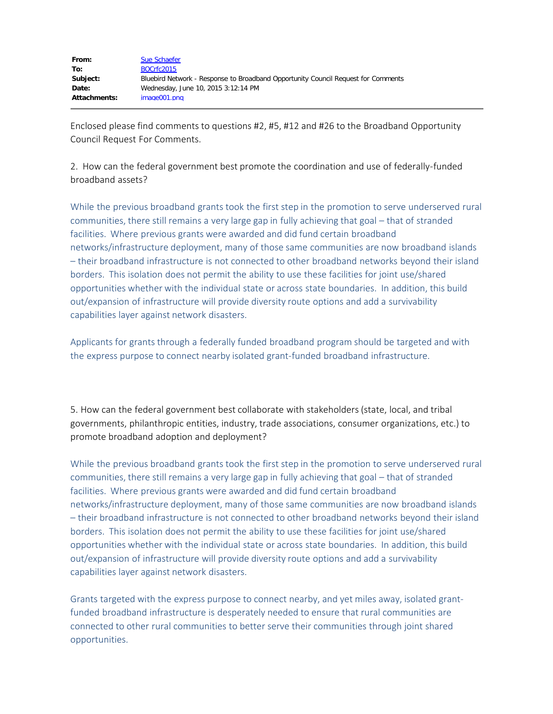| From:               | Sue Schaefer                                                                      |
|---------------------|-----------------------------------------------------------------------------------|
| To:                 | BOCrfc2015                                                                        |
| Subject:            | Bluebird Network - Response to Broadband Opportunity Council Request for Comments |
| Date:               | Wednesday, June 10, 2015 3:12:14 PM                                               |
| <b>Attachments:</b> | image001.png                                                                      |

Enclosed please find comments to questions #2, #5, #12 and #26 to the Broadband Opportunity Council Request For Comments.

2. How can the federal government best promote the coordination and use of federally-funded broadband assets?

While the previous broadband grants took the first step in the promotion to serve underserved rural communities, there still remains a very large gap in fully achieving that goal – that of stranded facilities. Where previous grants were awarded and did fund certain broadband networks/infrastructure deployment, many of those same communities are now broadband islands – their broadband infrastructure is not connected to other broadband networks beyond their island borders. This isolation does not permit the ability to use these facilities for joint use/shared opportunities whether with the individual state or across state boundaries. In addition, this build out/expansion of infrastructure will provide diversity route options and add a survivability capabilities layer against network disasters.

Applicants for grants through a federally funded broadband program should be targeted and with the express purpose to connect nearby isolated grant-funded broadband infrastructure.

5. How can the federal government best collaborate with stakeholders (state, local, and tribal governments, philanthropic entities, industry, trade associations, consumer organizations, etc.) to promote broadband adoption and deployment?

While the previous broadband grants took the first step in the promotion to serve underserved rural communities, there still remains a very large gap in fully achieving that goal – that of stranded facilities. Where previous grants were awarded and did fund certain broadband networks/infrastructure deployment, many of those same communities are now broadband islands – their broadband infrastructure is not connected to other broadband networks beyond their island borders. This isolation does not permit the ability to use these facilities for joint use/shared opportunities whether with the individual state or across state boundaries. In addition, this build out/expansion of infrastructure will provide diversity route options and add a survivability capabilities layer against network disasters.

Grants targeted with the express purpose to connect nearby, and yet miles away, isolated grantfunded broadband infrastructure is desperately needed to ensure that rural communities are connected to other rural communities to better serve their communities through joint shared opportunities.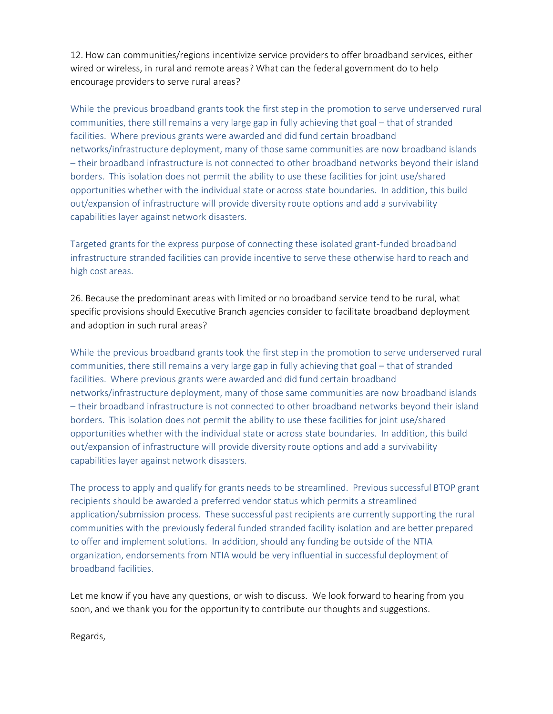12. How can communities/regions incentivize service providers to offer broadband services, either wired or wireless, in rural and remote areas? What can the federal government do to help encourage providers to serve rural areas?

While the previous broadband grants took the first step in the promotion to serve underserved rural communities, there still remains a very large gap in fully achieving that goal – that of stranded facilities. Where previous grants were awarded and did fund certain broadband networks/infrastructure deployment, many of those same communities are now broadband islands – their broadband infrastructure is not connected to other broadband networks beyond their island borders. This isolation does not permit the ability to use these facilities for joint use/shared opportunities whether with the individual state or across state boundaries. In addition, this build out/expansion of infrastructure will provide diversity route options and add a survivability capabilities layer against network disasters.

Targeted grants for the express purpose of connecting these isolated grant-funded broadband infrastructure stranded facilities can provide incentive to serve these otherwise hard to reach and high cost areas.

26. Because the predominant areas with limited or no broadband service tend to be rural, what specific provisions should Executive Branch agencies consider to facilitate broadband deployment and adoption in such rural areas?

While the previous broadband grants took the first step in the promotion to serve underserved rural communities, there still remains a very large gap in fully achieving that goal – that of stranded facilities. Where previous grants were awarded and did fund certain broadband networks/infrastructure deployment, many of those same communities are now broadband islands – their broadband infrastructure is not connected to other broadband networks beyond their island borders. This isolation does not permit the ability to use these facilities for joint use/shared opportunities whether with the individual state or across state boundaries. In addition, this build out/expansion of infrastructure will provide diversity route options and add a survivability capabilities layer against network disasters.

The process to apply and qualify for grants needs to be streamlined. Previous successful BTOP grant recipients should be awarded a preferred vendor status which permits a streamlined application/submission process. These successful past recipients are currently supporting the rural communities with the previously federal funded stranded facility isolation and are better prepared to offer and implement solutions. In addition, should any funding be outside of the NTIA organization, endorsements from NTIA would be very influential in successful deployment of broadband facilities.

Let me know if you have any questions, or wish to discuss. We look forward to hearing from you soon, and we thank you for the opportunity to contribute our thoughts and suggestions.

Regards,